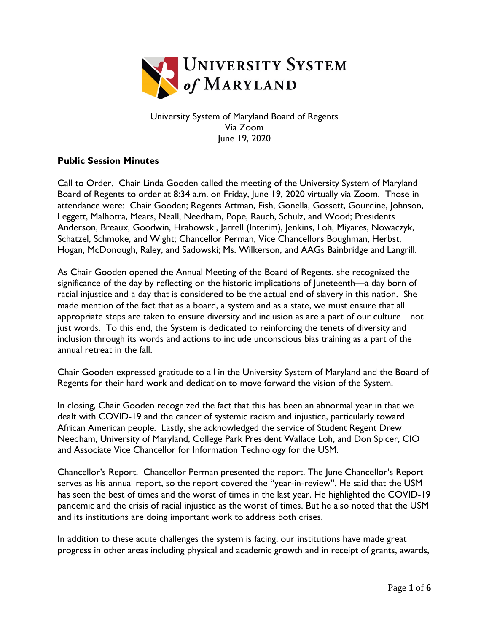

University System of Maryland Board of Regents Via Zoom June 19, 2020

## **Public Session Minutes**

Call to Order. Chair Linda Gooden called the meeting of the University System of Maryland Board of Regents to order at 8:34 a.m. on Friday, June 19, 2020 virtually via Zoom. Those in attendance were: Chair Gooden; Regents Attman, Fish, Gonella, Gossett, Gourdine, Johnson, Leggett, Malhotra, Mears, Neall, Needham, Pope, Rauch, Schulz, and Wood; Presidents Anderson, Breaux, Goodwin, Hrabowski, Jarrell (Interim), Jenkins, Loh, Miyares, Nowaczyk, Schatzel, Schmoke, and Wight; Chancellor Perman, Vice Chancellors Boughman, Herbst, Hogan, McDonough, Raley, and Sadowski; Ms. Wilkerson, and AAGs Bainbridge and Langrill.

As Chair Gooden opened the Annual Meeting of the Board of Regents, she recognized the significance of the day by reflecting on the historic implications of Juneteenth—a day born of racial injustice and a day that is considered to be the actual end of slavery in this nation. She made mention of the fact that as a board, a system and as a state, we must ensure that all appropriate steps are taken to ensure diversity and inclusion as are a part of our culture—not just words. To this end, the System is dedicated to reinforcing the tenets of diversity and inclusion through its words and actions to include unconscious bias training as a part of the annual retreat in the fall.

Chair Gooden expressed gratitude to all in the University System of Maryland and the Board of Regents for their hard work and dedication to move forward the vision of the System.

In closing, Chair Gooden recognized the fact that this has been an abnormal year in that we dealt with COVID-19 and the cancer of systemic racism and injustice, particularly toward African American people. Lastly, she acknowledged the service of Student Regent Drew Needham, University of Maryland, College Park President Wallace Loh, and Don Spicer, CIO and Associate Vice Chancellor for Information Technology for the USM.

Chancellor's Report. Chancellor Perman presented the report. The June Chancellor's Report serves as his annual report, so the report covered the "year-in-review". He said that the USM has seen the best of times and the worst of times in the last year. He highlighted the COVID-19 pandemic and the crisis of racial injustice as the worst of times. But he also noted that the USM and its institutions are doing important work to address both crises.

In addition to these acute challenges the system is facing, our institutions have made great progress in other areas including physical and academic growth and in receipt of grants, awards,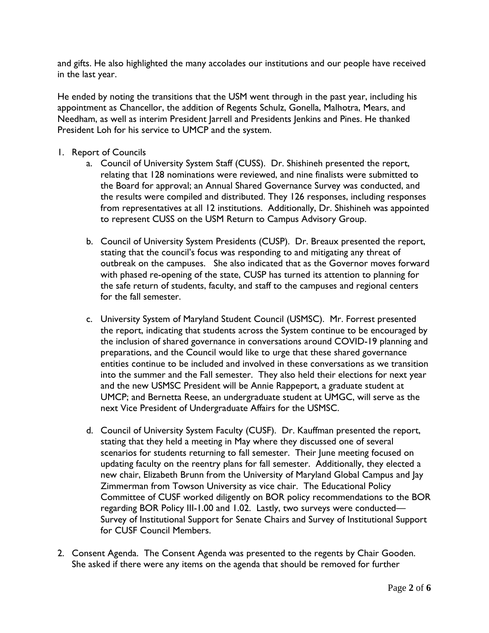and gifts. He also highlighted the many accolades our institutions and our people have received in the last year.

He ended by noting the transitions that the USM went through in the past year, including his appointment as Chancellor, the addition of Regents Schulz, Gonella, Malhotra, Mears, and Needham, as well as interim President Jarrell and Presidents Jenkins and Pines. He thanked President Loh for his service to UMCP and the system.

- 1. Report of Councils
	- a. Council of University System Staff (CUSS). Dr. Shishineh presented the report, relating that 128 nominations were reviewed, and nine finalists were submitted to the Board for approval; an Annual Shared Governance Survey was conducted, and the results were compiled and distributed. They 126 responses, including responses from representatives at all 12 institutions. Additionally, Dr. Shishineh was appointed to represent CUSS on the USM Return to Campus Advisory Group.
	- b. Council of University System Presidents (CUSP). Dr. Breaux presented the report, stating that the council's focus was responding to and mitigating any threat of outbreak on the campuses. She also indicated that as the Governor moves forward with phased re-opening of the state, CUSP has turned its attention to planning for the safe return of students, faculty, and staff to the campuses and regional centers for the fall semester.
	- c. University System of Maryland Student Council (USMSC). Mr. Forrest presented the report, indicating that students across the System continue to be encouraged by the inclusion of shared governance in conversations around COVID-19 planning and preparations, and the Council would like to urge that these shared governance entities continue to be included and involved in these conversations as we transition into the summer and the Fall semester. They also held their elections for next year and the new USMSC President will be Annie Rappeport, a graduate student at UMCP; and Bernetta Reese, an undergraduate student at UMGC, will serve as the next Vice President of Undergraduate Affairs for the USMSC.
	- d. Council of University System Faculty (CUSF). Dr. Kauffman presented the report, stating that they held a meeting in May where they discussed one of several scenarios for students returning to fall semester. Their June meeting focused on updating faculty on the reentry plans for fall semester. Additionally, they elected a new chair, Elizabeth Brunn from the University of Maryland Global Campus and Jay Zimmerman from Towson University as vice chair. The Educational Policy Committee of CUSF worked diligently on BOR policy recommendations to the BOR regarding BOR Policy III-1.00 and 1.02. Lastly, two surveys were conducted— Survey of Institutional Support for Senate Chairs and Survey of Institutional Support for CUSF Council Members.
- 2. Consent Agenda. The Consent Agenda was presented to the regents by Chair Gooden. She asked if there were any items on the agenda that should be removed for further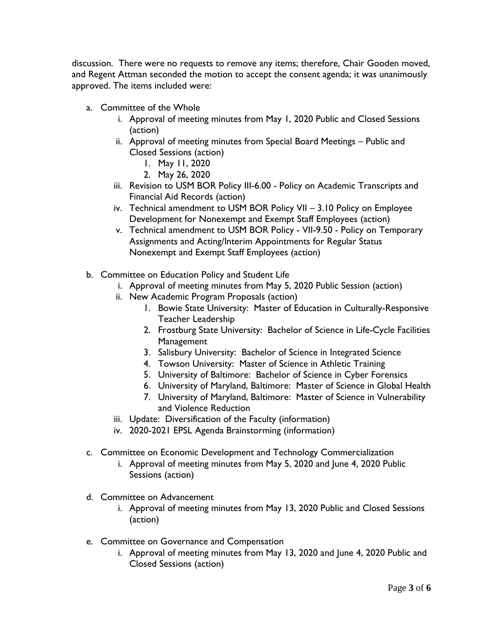discussion. There were no requests to remove any items; therefore, Chair Gooden moved, and Regent Attman seconded the motion to accept the consent agenda; it was unanimously approved. The items included were:

- a. Committee of the Whole
	- i. Approval of meeting minutes from May 1, 2020 Public and Closed Sessions (action)
	- ii. Approval of meeting minutes from Special Board Meetings Public and Closed Sessions (action)
		- 1. May 11, 2020
		- 2. May 26, 2020
	- iii. Revision to USM BOR Policy III-6.00 Policy on Academic Transcripts and Financial Aid Records (action)
	- iv. Technical amendment to USM BOR Policy VII 3.10 Policy on Employee Development for Nonexempt and Exempt Staff Employees (action)
	- v. Technical amendment to USM BOR Policy VII-9.50 Policy on Temporary Assignments and Acting/Interim Appointments for Regular Status Nonexempt and Exempt Staff Employees (action)
- b. Committee on Education Policy and Student Life
	- i. Approval of meeting minutes from May 5, 2020 Public Session (action)
	- ii. New Academic Program Proposals (action)
		- 1. Bowie State University: Master of Education in Culturally-Responsive Teacher Leadership
		- 2. Frostburg State University: Bachelor of Science in Life-Cycle Facilities Management
		- 3. Salisbury University: Bachelor of Science in Integrated Science
		- 4. Towson University: Master of Science in Athletic Training
		- 5. University of Baltimore: Bachelor of Science in Cyber Forensics
		- 6. University of Maryland, Baltimore: Master of Science in Global Health
		- 7. University of Maryland, Baltimore: Master of Science in Vulnerability and Violence Reduction
	- iii. Update: Diversification of the Faculty (information)
	- iv. 2020-2021 EPSL Agenda Brainstorming (information)
- c. Committee on Economic Development and Technology Commercialization
	- i. Approval of meeting minutes from May 5, 2020 and June 4, 2020 Public Sessions (action)
- d. Committee on Advancement
	- i. Approval of meeting minutes from May 13, 2020 Public and Closed Sessions (action)
- e. Committee on Governance and Compensation
	- i. Approval of meeting minutes from May 13, 2020 and June 4, 2020 Public and Closed Sessions (action)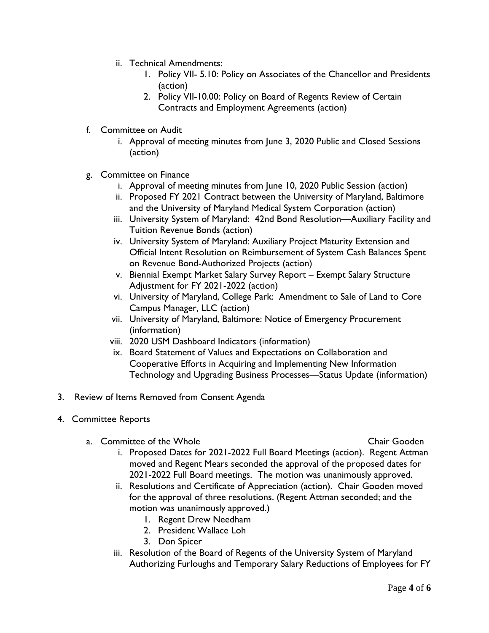- ii. Technical Amendments:
	- 1. Policy VII- 5.10: Policy on Associates of the Chancellor and Presidents (action)
	- 2. Policy VII-10.00: Policy on Board of Regents Review of Certain Contracts and Employment Agreements (action)
- f. Committee on Audit
	- i. Approval of meeting minutes from June 3, 2020 Public and Closed Sessions (action)
- g. Committee on Finance
	- i. Approval of meeting minutes from June 10, 2020 Public Session (action)
	- ii. Proposed FY 2021 Contract between the University of Maryland, Baltimore and the University of Maryland Medical System Corporation (action)
	- iii. University System of Maryland: 42nd Bond Resolution—Auxiliary Facility and Tuition Revenue Bonds (action)
	- iv. University System of Maryland: Auxiliary Project Maturity Extension and Official Intent Resolution on Reimbursement of System Cash Balances Spent on Revenue Bond-Authorized Projects (action)
	- v. Biennial Exempt Market Salary Survey Report Exempt Salary Structure Adjustment for FY 2021-2022 (action)
	- vi. University of Maryland, College Park: Amendment to Sale of Land to Core Campus Manager, LLC (action)
	- vii. University of Maryland, Baltimore: Notice of Emergency Procurement (information)
	- viii. 2020 USM Dashboard Indicators (information)
	- ix. Board Statement of Values and Expectations on Collaboration and Cooperative Efforts in Acquiring and Implementing New Information Technology and Upgrading Business Processes—Status Update (information)
- 3. Review of Items Removed from Consent Agenda
- 4. Committee Reports
	- a. Committee of the Whole Chair Gooden Chair Gooden

- i. Proposed Dates for 2021-2022 Full Board Meetings (action). Regent Attman moved and Regent Mears seconded the approval of the proposed dates for 2021-2022 Full Board meetings. The motion was unanimously approved.
- ii. Resolutions and Certificate of Appreciation (action). Chair Gooden moved for the approval of three resolutions. (Regent Attman seconded; and the motion was unanimously approved.)
	- 1. Regent Drew Needham
	- 2. President Wallace Loh
	- 3. Don Spicer
- iii. Resolution of the Board of Regents of the University System of Maryland Authorizing Furloughs and Temporary Salary Reductions of Employees for FY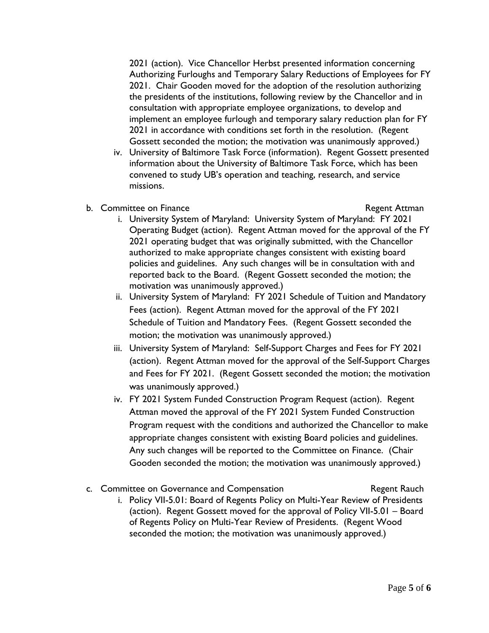2021 (action). Vice Chancellor Herbst presented information concerning Authorizing Furloughs and Temporary Salary Reductions of Employees for FY 2021. Chair Gooden moved for the adoption of the resolution authorizing the presidents of the institutions, following review by the Chancellor and in consultation with appropriate employee organizations, to develop and implement an employee furlough and temporary salary reduction plan for FY 2021 in accordance with conditions set forth in the resolution. (Regent Gossett seconded the motion; the motivation was unanimously approved.)

- iv. University of Baltimore Task Force (information). Regent Gossett presented information about the University of Baltimore Task Force, which has been convened to study UB's operation and teaching, research, and service missions.
- b. Committee on Finance **Regent Attman**

- i. University System of Maryland: University System of Maryland: FY 2021 Operating Budget (action). Regent Attman moved for the approval of the FY 2021 operating budget that was originally submitted, with the Chancellor authorized to make appropriate changes consistent with existing board policies and guidelines. Any such changes will be in consultation with and reported back to the Board. (Regent Gossett seconded the motion; the motivation was unanimously approved.)
- ii. University System of Maryland: FY 2021 Schedule of Tuition and Mandatory Fees (action). Regent Attman moved for the approval of the FY 2021 Schedule of Tuition and Mandatory Fees. (Regent Gossett seconded the motion; the motivation was unanimously approved.)
- iii. University System of Maryland: Self-Support Charges and Fees for FY 2021 (action). Regent Attman moved for the approval of the Self-Support Charges and Fees for FY 2021. (Regent Gossett seconded the motion; the motivation was unanimously approved.)
- iv. FY 2021 System Funded Construction Program Request (action). Regent Attman moved the approval of the FY 2021 System Funded Construction Program request with the conditions and authorized the Chancellor to make appropriate changes consistent with existing Board policies and guidelines. Any such changes will be reported to the Committee on Finance. (Chair Gooden seconded the motion; the motivation was unanimously approved.)
- c. Committee on Governance and Compensation The Regent Rauch i. Policy VII-5.01: Board of Regents Policy on Multi-Year Review of Presidents (action). Regent Gossett moved for the approval of Policy VII-5.01 – Board of Regents Policy on Multi-Year Review of Presidents. (Regent Wood seconded the motion; the motivation was unanimously approved.)